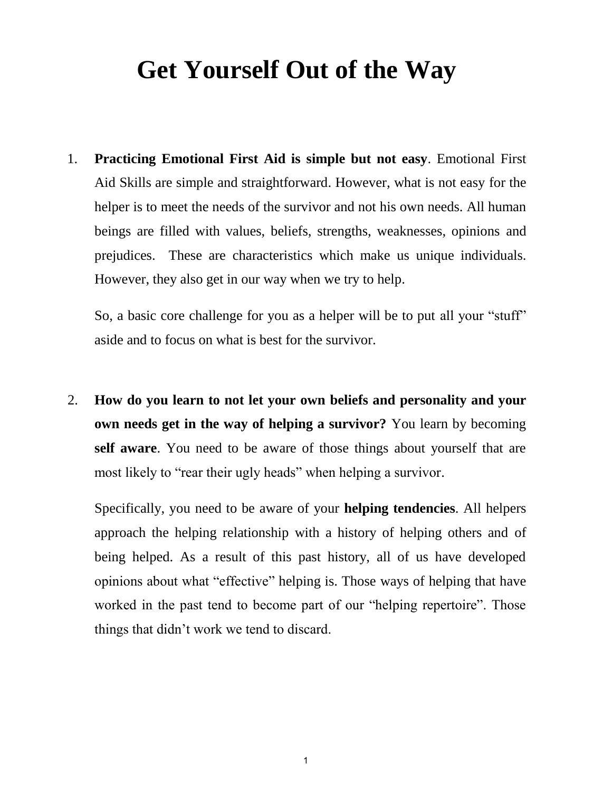# **Get Yourself Out of the Way**

1. **Practicing Emotional First Aid is simple but not easy**. Emotional First Aid Skills are simple and straightforward. However, what is not easy for the helper is to meet the needs of the survivor and not his own needs. All human beings are filled with values, beliefs, strengths, weaknesses, opinions and prejudices. These are characteristics which make us unique individuals. However, they also get in our way when we try to help.

So, a basic core challenge for you as a helper will be to put all your "stuff" aside and to focus on what is best for the survivor.

2. **How do you learn to not let your own beliefs and personality and your own needs get in the way of helping a survivor?** You learn by becoming **self aware**. You need to be aware of those things about yourself that are most likely to "rear their ugly heads" when helping a survivor.

Specifically, you need to be aware of your **helping tendencies**. All helpers approach the helping relationship with a history of helping others and of being helped. As a result of this past history, all of us have developed opinions about what "effective" helping is. Those ways of helping that have worked in the past tend to become part of our "helping repertoire". Those things that didn't work we tend to discard.